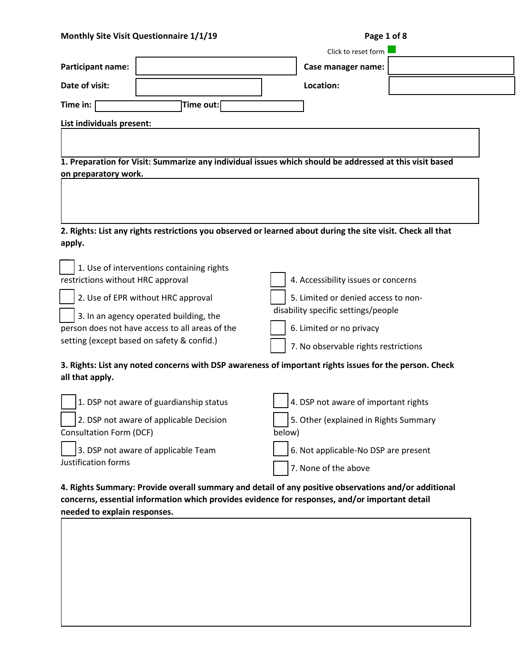| Monthly Site Visit Questionnaire 1/1/19         | Page 1 of 8                                                                                                 |
|-------------------------------------------------|-------------------------------------------------------------------------------------------------------------|
|                                                 | Click to reset form                                                                                         |
| <b>Participant name:</b>                        | Case manager name:                                                                                          |
| Date of visit:                                  | Location:                                                                                                   |
| Time out:<br>Time in:                           |                                                                                                             |
| List individuals present:                       |                                                                                                             |
|                                                 |                                                                                                             |
|                                                 |                                                                                                             |
| on preparatory work.                            | 1. Preparation for Visit: Summarize any individual issues which should be addressed at this visit based     |
|                                                 |                                                                                                             |
|                                                 |                                                                                                             |
|                                                 |                                                                                                             |
|                                                 |                                                                                                             |
|                                                 | 2. Rights: List any rights restrictions you observed or learned about during the site visit. Check all that |
| apply.                                          |                                                                                                             |
| 1. Use of interventions containing rights       |                                                                                                             |
| restrictions without HRC approval               | 4. Accessibility issues or concerns                                                                         |
|                                                 |                                                                                                             |
| 2. Use of EPR without HRC approval              | 5. Limited or denied access to non-                                                                         |
| 3. In an agency operated building, the          | disability specific settings/people                                                                         |
| person does not have access to all areas of the | 6. Limited or no privacy                                                                                    |
| setting (except based on safety & confid.)      | 7. No observable rights restrictions                                                                        |
|                                                 | 3. Rights: List any noted concerns with DSP awareness of important rights issues for the person. Check      |
| all that apply.                                 |                                                                                                             |
|                                                 |                                                                                                             |
| 1. DSP not aware of guardianship status         | 4. DSP not aware of important rights                                                                        |
| 2. DSP not aware of applicable Decision         | 5. Other (explained in Rights Summary                                                                       |
| <b>Consultation Form (DCF)</b>                  | below)                                                                                                      |
| 3. DSP not aware of applicable Team             | 6. Not applicable-No DSP are present                                                                        |
| Justification forms                             |                                                                                                             |
|                                                 | 7. None of the above                                                                                        |
|                                                 |                                                                                                             |

**4. Rights Summary: Provide overall summary and detail of any positive observations and/or additional concerns, essential information which provides evidence for responses, and/or important detail needed to explain responses.**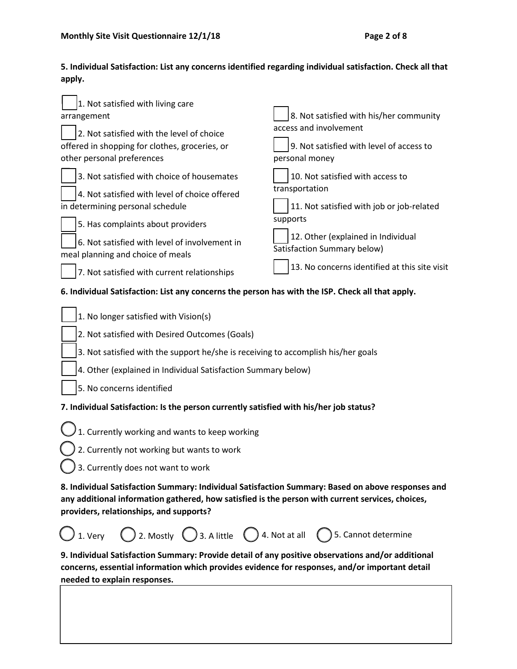# **5. Individual Satisfaction: List any concerns identified regarding individual satisfaction. Check all that apply.**

| 1. Not satisfied with living care<br>arrangement                                                                                                                                                                                                 | 8. Not satisfied with his/her community                           |  |
|--------------------------------------------------------------------------------------------------------------------------------------------------------------------------------------------------------------------------------------------------|-------------------------------------------------------------------|--|
| 2. Not satisfied with the level of choice                                                                                                                                                                                                        | access and involvement                                            |  |
| offered in shopping for clothes, groceries, or                                                                                                                                                                                                   | 9. Not satisfied with level of access to                          |  |
| other personal preferences                                                                                                                                                                                                                       | personal money                                                    |  |
| 3. Not satisfied with choice of housemates                                                                                                                                                                                                       | 10. Not satisfied with access to<br>transportation                |  |
| 4. Not satisfied with level of choice offered<br>in determining personal schedule                                                                                                                                                                | 11. Not satisfied with job or job-related                         |  |
| 5. Has complaints about providers                                                                                                                                                                                                                | supports                                                          |  |
| 6. Not satisfied with level of involvement in<br>meal planning and choice of meals                                                                                                                                                               | 12. Other (explained in Individual<br>Satisfaction Summary below) |  |
| 7. Not satisfied with current relationships                                                                                                                                                                                                      | 13. No concerns identified at this site visit                     |  |
| 6. Individual Satisfaction: List any concerns the person has with the ISP. Check all that apply.                                                                                                                                                 |                                                                   |  |
| 1. No longer satisfied with Vision(s)                                                                                                                                                                                                            |                                                                   |  |
| 2. Not satisfied with Desired Outcomes (Goals)                                                                                                                                                                                                   |                                                                   |  |
| 3. Not satisfied with the support he/she is receiving to accomplish his/her goals                                                                                                                                                                |                                                                   |  |
| 4. Other (explained in Individual Satisfaction Summary below)                                                                                                                                                                                    |                                                                   |  |
| 5. No concerns identified                                                                                                                                                                                                                        |                                                                   |  |
| 7. Individual Satisfaction: Is the person currently satisfied with his/her job status?                                                                                                                                                           |                                                                   |  |
| 1. Currently working and wants to keep working                                                                                                                                                                                                   |                                                                   |  |
| 2. Currently not working but wants to work                                                                                                                                                                                                       |                                                                   |  |
| $\bigcup$ 3. Currently does not want to work                                                                                                                                                                                                     |                                                                   |  |
| 8. Individual Satisfaction Summary: Individual Satisfaction Summary: Based on above responses and<br>any additional information gathered, how satisfied is the person with current services, choices,<br>providers, relationships, and supports? |                                                                   |  |
| $\bigcirc$ 1. Very $\bigcirc$ 2. Mostly $\bigcirc$ 3. A little $\bigcirc$ 4. Not at all $\bigcirc$ 5. Cannot determine                                                                                                                           |                                                                   |  |
| 9. Individual Satisfaction Summary: Provide detail of any positive observations and/or additional                                                                                                                                                |                                                                   |  |

**concerns, essential information which provides evidence for responses, and/or important detail needed to explain responses.**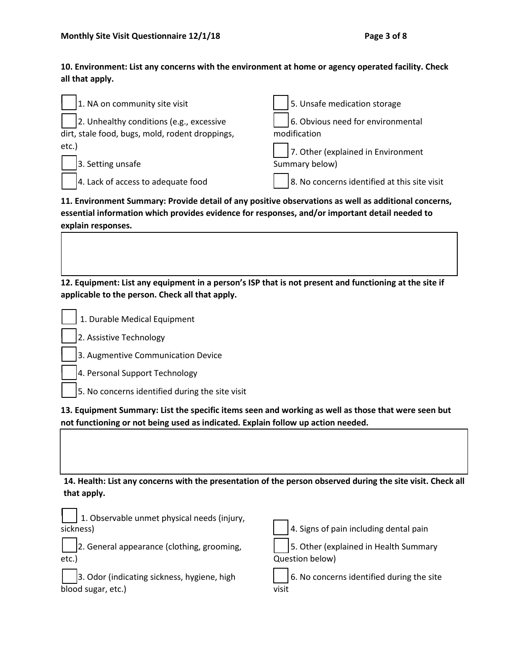**10. Environment: List any concerns with the environment at home or agency operated facility. Check all that apply.**

| 1. NA on community site visit                   | 5. Unsafe medication storage                 |
|-------------------------------------------------|----------------------------------------------|
| 2. Unhealthy conditions (e.g., excessive        | 6. Obvious need for environmental            |
| dirt, stale food, bugs, mold, rodent droppings, | modification                                 |
| etc.)                                           | 7. Other (explained in Environment           |
| 3. Setting unsafe                               | Summary below)                               |
| 4. Lack of access to adequate food              | 8. No concerns identified at this site visit |

**11. Environment Summary: Provide detail of any positive observations as well as additional concerns, essential information which provides evidence for responses, and/or important detail needed to explain responses.**

**12. Equipment: List any equipment in a person's ISP that is not present and functioning at the site if applicable to the person. Check all that apply.**

1. Durable Medical Equipment

2. Assistive Technology

3. Augmentive Communication Device

4. Personal Support Technology

5. No concerns identified during the site visit

**13. Equipment Summary: List the specific items seen and working as well as those that were seen but not functioning or not being used as indicated. Explain follow up action needed.**

**14. Health: List any concerns with the presentation of the person observed during the site visit. Check all that apply.**

| 1. Observable unmet physical needs (injury,<br>sickness) | 4. Signs of pain including dental pain    |
|----------------------------------------------------------|-------------------------------------------|
| 2. General appearance (clothing, grooming,               | 5. Other (explained in Health Summary     |
| etc.)                                                    | Question below)                           |
| 3. Odor (indicating sickness, hygiene, high              | 6. No concerns identified during the site |
| blood sugar, etc.)                                       | visit                                     |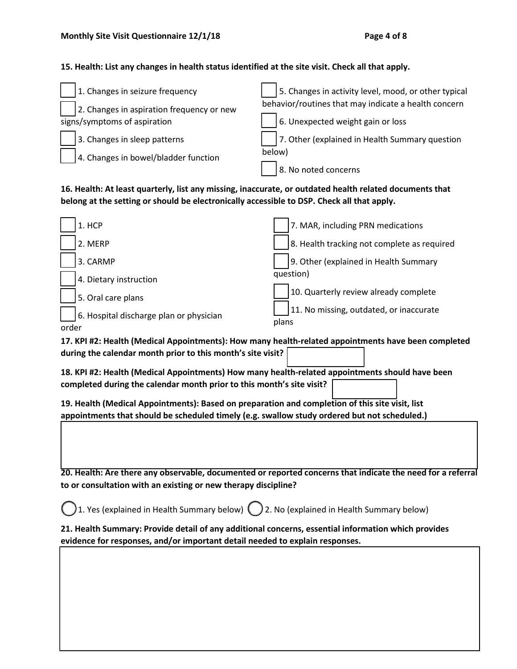### **15. Health: List any changes in health status identified at the site visit. Check all that apply.**

| 1. Changes in seizure frequency           | 5. Changes in activity level, mood, or other typical |
|-------------------------------------------|------------------------------------------------------|
| 2. Changes in aspiration frequency or new | behavior/routines that may indicate a health concern |
| signs/symptoms of aspiration              | 6. Unexpected weight gain or loss                    |
| 3. Changes in sleep patterns              | 7. Other (explained in Health Summary question       |
| 4. Changes in bowel/bladder function      | below)                                               |
|                                           | 8. No noted concerns                                 |

**16. Health: At least quarterly, list any missing, inaccurate, or outdated health related documents that belong at the setting or should be electronically accessible to DSP. Check all that apply.**

|       | 1. HCP                                  | 7. MAR, including PRN medications                |
|-------|-----------------------------------------|--------------------------------------------------|
|       | 2. MERP                                 | 8. Health tracking not complete as required      |
|       | 3. CARMP                                | 9. Other (explained in Health Summary            |
|       | 4. Dietary instruction                  | question)                                        |
|       | 5. Oral care plans                      | 10. Quarterly review already complete            |
| order | 6. Hospital discharge plan or physician | 11. No missing, outdated, or inaccurate<br>plans |

**17. KPI #2: Health (Medical Appointments): How many health-related appointments have been completed during the calendar month prior to this month's site visit?**

**18. KPI #2: Health (Medical Appointments) How many health-related appointments should have been completed during the calendar month prior to this month's site visit?**

**19. Health (Medical Appointments): Based on preparation and completion of this site visit, list appointments that should be scheduled timely (e.g. swallow study ordered but not scheduled.)**

**20. Health: Are there any observable, documented or reported concerns that indicate the need for a referral to or consultation with an existing or new therapy discipline?**

)1. Yes (explained in Health Summary below)  $\mathbb C$  ) 2. No (explained in Health Summary below)

**21. Health Summary: Provide detail of any additional concerns, essential information which provides evidence for responses, and/or important detail needed to explain responses.**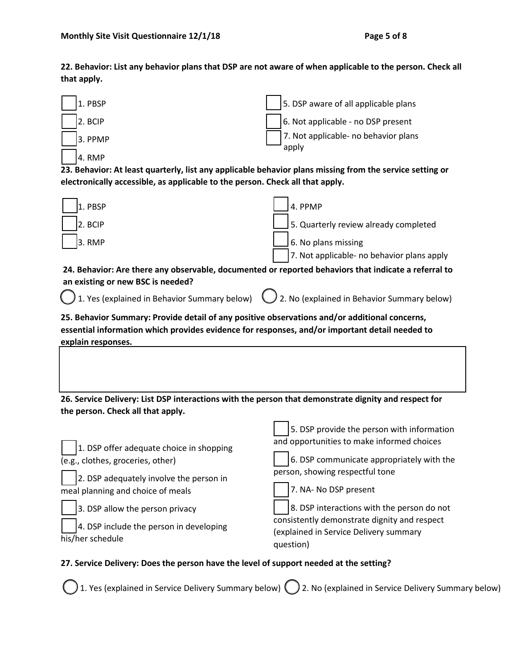**22. Behavior: List any behavior plans that DSP are not aware of when applicable to the person. Check all that apply.**



1. Yes (explained in Service Delivery Summary below) 2. No (explained in Service Delivery Summary below)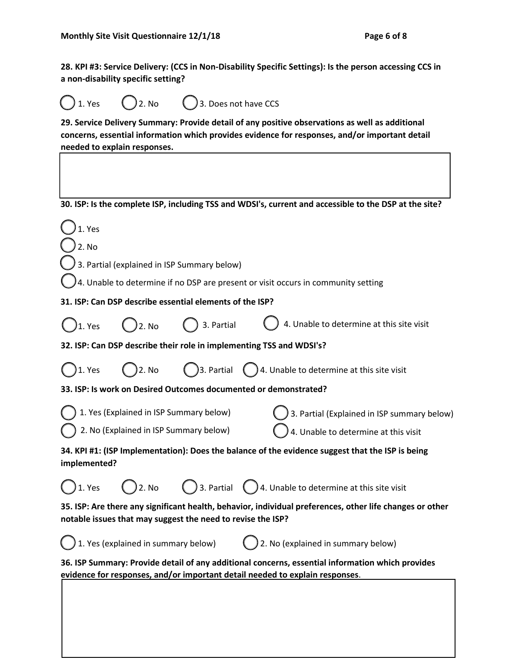**28. KPI #3: Service Delivery: (CCS in Non-Disability Specific Settings): Is the person accessing CCS in a non-disability specific setting?**

Yes  $\bigcirc$  2. No  $\bigcirc$  3. Does not have CCS

**29. Service Delivery Summary: Provide detail of any positive observations as well as additional concerns, essential information which provides evidence for responses, and/or important detail needed to explain responses.**

**30. ISP: Is the complete ISP, including TSS and WDSI's, current and accessible to the DSP at the site?**

| 1. Yes                                                                                                                                                                  |                                         |                                                          |                                                                                                                                                                                  |
|-------------------------------------------------------------------------------------------------------------------------------------------------------------------------|-----------------------------------------|----------------------------------------------------------|----------------------------------------------------------------------------------------------------------------------------------------------------------------------------------|
| 2. No                                                                                                                                                                   |                                         |                                                          |                                                                                                                                                                                  |
|                                                                                                                                                                         |                                         | 3. Partial (explained in ISP Summary below)              |                                                                                                                                                                                  |
| 4. Unable to determine if no DSP are present or visit occurs in community setting                                                                                       |                                         |                                                          |                                                                                                                                                                                  |
|                                                                                                                                                                         |                                         | 31. ISP: Can DSP describe essential elements of the ISP? |                                                                                                                                                                                  |
| 1. Yes                                                                                                                                                                  | 2. No                                   | 3. Partial                                               | 4. Unable to determine at this site visit                                                                                                                                        |
|                                                                                                                                                                         |                                         |                                                          | 32. ISP: Can DSP describe their role in implementing TSS and WDSI's?                                                                                                             |
| 1. Yes                                                                                                                                                                  | )2. No                                  |                                                          | $\bigcirc$ 3. Partial $\bigcirc$ 4. Unable to determine at this site visit                                                                                                       |
|                                                                                                                                                                         |                                         |                                                          | 33. ISP: Is work on Desired Outcomes documented or demonstrated?                                                                                                                 |
|                                                                                                                                                                         | 1. Yes (Explained in ISP Summary below) |                                                          | 3. Partial (Explained in ISP summary below)                                                                                                                                      |
| 2. No (Explained in ISP Summary below)<br>4. Unable to determine at this visit                                                                                          |                                         |                                                          |                                                                                                                                                                                  |
| 34. KPI #1: (ISP Implementation): Does the balance of the evidence suggest that the ISP is being<br>implemented?                                                        |                                         |                                                          |                                                                                                                                                                                  |
| ) 1. Yes                                                                                                                                                                | ) 2. No                                 |                                                          | $\bigcirc$ 3. Partial $\bigcirc$ 4. Unable to determine at this site visit                                                                                                       |
| 35. ISP: Are there any significant health, behavior, individual preferences, other life changes or other<br>notable issues that may suggest the need to revise the ISP? |                                         |                                                          |                                                                                                                                                                                  |
|                                                                                                                                                                         | 1. Yes (explained in summary below)     |                                                          | $)$ 2. No (explained in summary below)                                                                                                                                           |
|                                                                                                                                                                         |                                         |                                                          | 36. ISP Summary: Provide detail of any additional concerns, essential information which provides<br>evidence for responses, and/or important detail needed to explain responses. |
|                                                                                                                                                                         |                                         |                                                          |                                                                                                                                                                                  |
|                                                                                                                                                                         |                                         |                                                          |                                                                                                                                                                                  |
|                                                                                                                                                                         |                                         |                                                          |                                                                                                                                                                                  |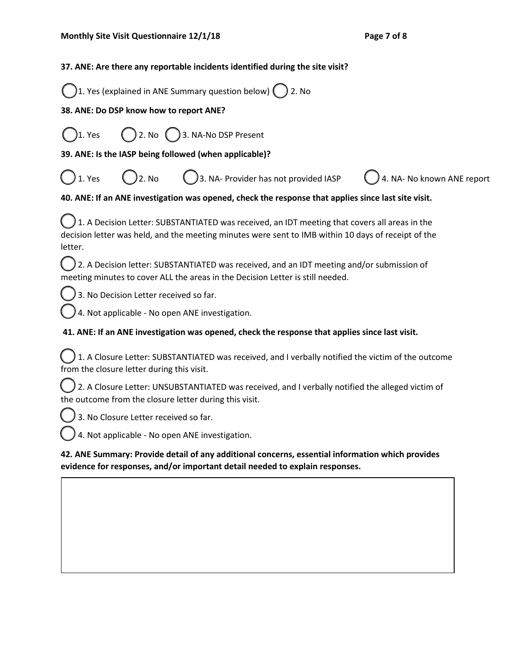### **37. ANE: Are there any reportable incidents identified during the site visit?**

| ◯1. Yes (explained in ANE Summary question below) ◯ 2. No |  |
|-----------------------------------------------------------|--|
|                                                           |  |

## **38. ANE: Do DSP know how to report ANE?**

1. Yes 2. No  $\binom{3}{2}$  3. NA-No DSP Present

**39. ANE: Is the IASP being followed (when applicable)?**

1. Yes  $( )$  2. No  $( )$  3. NA- Provider has not provided IASP  $( )$  4. NA- No known ANE report

## **40. ANE: If an ANE investigation was opened, check the response that applies since last site visit.**

1. A Decision Letter: SUBSTANTIATED was received, an IDT meeting that covers all areas in the decision letter was held, and the meeting minutes were sent to IMB within 10 days of receipt of the letter.

2. A Decision letter: SUBSTANTIATED was received, and an IDT meeting and/or submission of meeting minutes to cover ALL the areas in the Decision Letter is still needed.

3. No Decision Letter received so far.

4. Not applicable - No open ANE investigation.

## **41. ANE: If an ANE investigation was opened, check the response that applies since last visit.**

1. A Closure Letter: SUBSTANTIATED was received, and I verbally notified the victim of the outcome from the closure letter during this visit.

2. A Closure Letter: UNSUBSTANTIATED was received, and I verbally notified the alleged victim of the outcome from the closure letter during this visit.

3. No Closure Letter received so far.

4. Not applicable - No open ANE investigation.

**42. ANE Summary: Provide detail of any additional concerns, essential information which provides evidence for responses, and/or important detail needed to explain responses.**